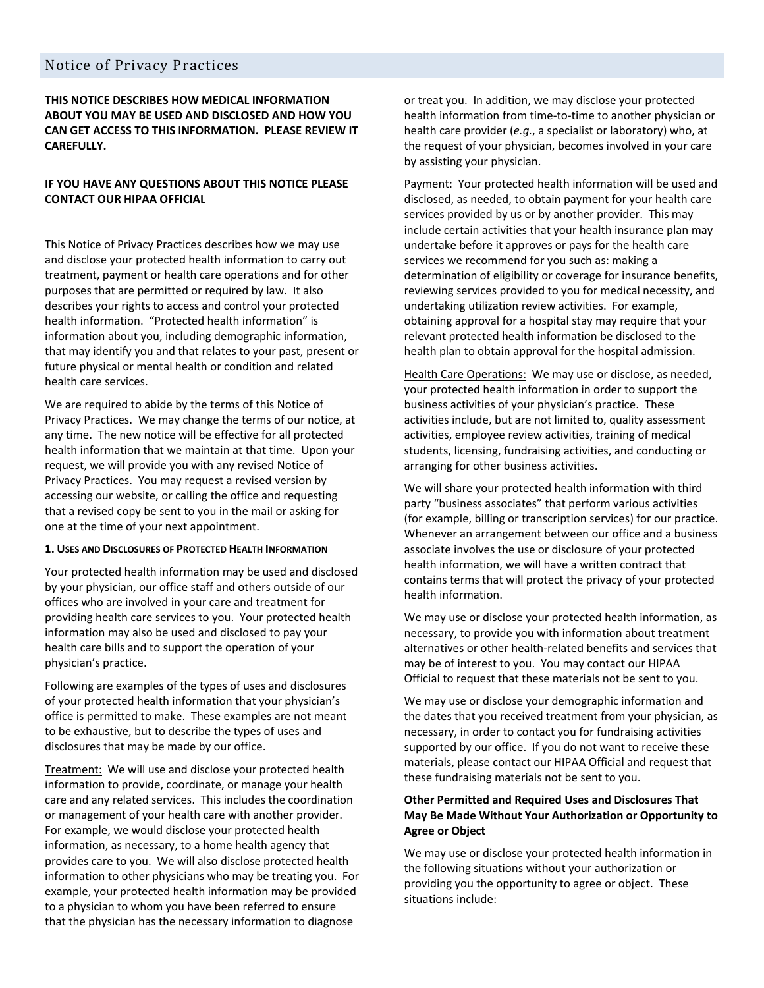# Notice of Privacy Practices

**THIS NOTICE DESCRIBES HOW MEDICAL INFORMATION ABOUT YOU MAY BE USED AND DISCLOSED AND HOW YOU CAN GET ACCESS TO THIS INFORMATION. PLEASE REVIEW IT CAREFULLY.**

### **IF YOU HAVE ANY QUESTIONS ABOUT THIS NOTICE PLEASE CONTACT OUR HIPAA OFFICIAL**

This Notice of Privacy Practices describes how we may use and disclose your protected health information to carry out treatment, payment or health care operations and for other purposes that are permitted or required by law. It also describes your rights to access and control your protected health information. "Protected health information" is information about you, including demographic information, that may identify you and that relates to your past, present or future physical or mental health or condition and related health care services.

We are required to abide by the terms of this Notice of Privacy Practices. We may change the terms of our notice, at any time. The new notice will be effective for all protected health information that we maintain at that time. Upon your request, we will provide you with any revised Notice of Privacy Practices. You may request a revised version by accessing our website, or calling the office and requesting that a revised copy be sent to you in the mail or asking for one at the time of your next appointment.

#### **1. USES AND DISCLOSURES OF PROTECTED HEALTH INFORMATION**

Your protected health information may be used and disclosed by your physician, our office staff and others outside of our offices who are involved in your care and treatment for providing health care services to you. Your protected health information may also be used and disclosed to pay your health care bills and to support the operation of your physician's practice.

Following are examples of the types of uses and disclosures of your protected health information that your physician's office is permitted to make. These examples are not meant to be exhaustive, but to describe the types of uses and disclosures that may be made by our office.

Treatment: We will use and disclose your protected health information to provide, coordinate, or manage your health care and any related services. This includes the coordination or management of your health care with another provider. For example, we would disclose your protected health information, as necessary, to a home health agency that provides care to you. We will also disclose protected health information to other physicians who may be treating you. For example, your protected health information may be provided to a physician to whom you have been referred to ensure that the physician has the necessary information to diagnose

or treat you. In addition, we may disclose your protected health information from time-to-time to another physician or health care provider (*e.g.*, a specialist or laboratory) who, at the request of your physician, becomes involved in your care by assisting your physician.

Payment: Your protected health information will be used and disclosed, as needed, to obtain payment for your health care services provided by us or by another provider. This may include certain activities that your health insurance plan may undertake before it approves or pays for the health care services we recommend for you such as: making a determination of eligibility or coverage for insurance benefits, reviewing services provided to you for medical necessity, and undertaking utilization review activities. For example, obtaining approval for a hospital stay may require that your relevant protected health information be disclosed to the health plan to obtain approval for the hospital admission.

Health Care Operations: We may use or disclose, as needed, your protected health information in order to support the business activities of your physician's practice. These activities include, but are not limited to, quality assessment activities, employee review activities, training of medical students, licensing, fundraising activities, and conducting or arranging for other business activities.

We will share your protected health information with third party "business associates" that perform various activities (for example, billing or transcription services) for our practice. Whenever an arrangement between our office and a business associate involves the use or disclosure of your protected health information, we will have a written contract that contains terms that will protect the privacy of your protected health information.

We may use or disclose your protected health information, as necessary, to provide you with information about treatment alternatives or other health‐related benefits and services that may be of interest to you. You may contact our HIPAA Official to request that these materials not be sent to you.

We may use or disclose your demographic information and the dates that you received treatment from your physician, as necessary, in order to contact you for fundraising activities supported by our office. If you do not want to receive these materials, please contact our HIPAA Official and request that these fundraising materials not be sent to you.

### **Other Permitted and Required Uses and Disclosures That May Be Made Without Your Authorization or Opportunity to Agree or Object**

We may use or disclose your protected health information in the following situations without your authorization or providing you the opportunity to agree or object. These situations include: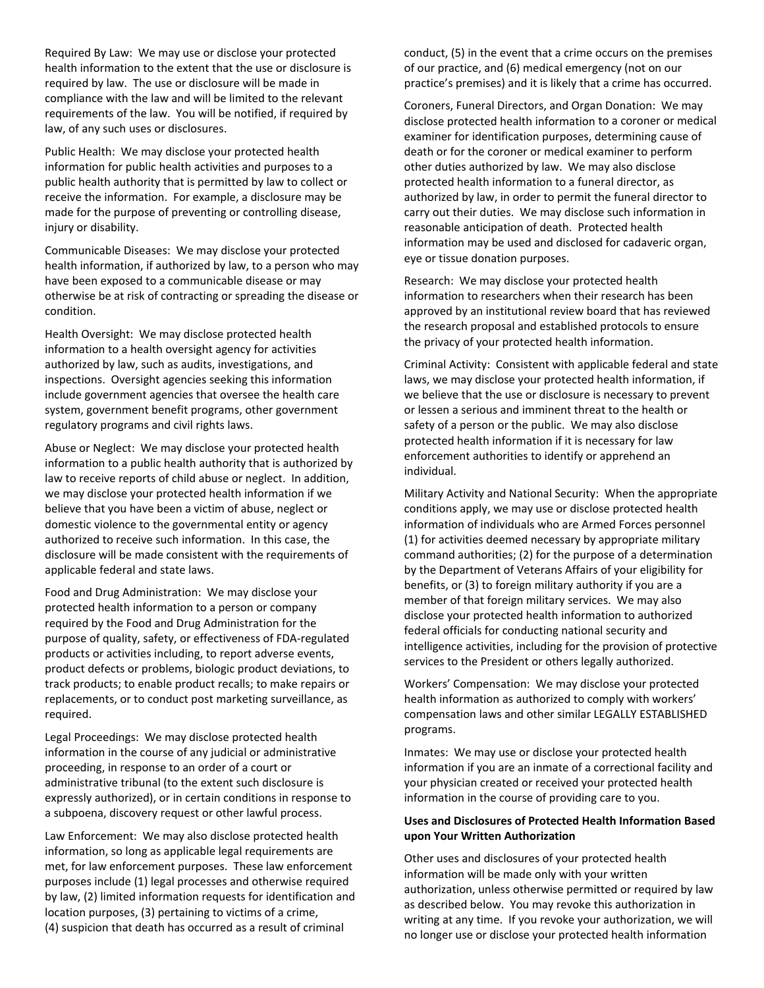Required By Law: We may use or disclose your protected health information to the extent that the use or disclosure is required by law. The use or disclosure will be made in compliance with the law and will be limited to the relevant requirements of the law. You will be notified, if required by law, of any such uses or disclosures.

Public Health: We may disclose your protected health information for public health activities and purposes to a public health authority that is permitted by law to collect or receive the information. For example, a disclosure may be made for the purpose of preventing or controlling disease, injury or disability.

Communicable Diseases: We may disclose your protected health information, if authorized by law, to a person who may have been exposed to a communicable disease or may otherwise be at risk of contracting or spreading the disease or condition.

Health Oversight: We may disclose protected health information to a health oversight agency for activities authorized by law, such as audits, investigations, and inspections. Oversight agencies seeking this information include government agencies that oversee the health care system, government benefit programs, other government regulatory programs and civil rights laws.

Abuse or Neglect: We may disclose your protected health information to a public health authority that is authorized by law to receive reports of child abuse or neglect. In addition, we may disclose your protected health information if we believe that you have been a victim of abuse, neglect or domestic violence to the governmental entity or agency authorized to receive such information. In this case, the disclosure will be made consistent with the requirements of applicable federal and state laws.

Food and Drug Administration: We may disclose your protected health information to a person or company required by the Food and Drug Administration for the purpose of quality, safety, or effectiveness of FDA‐regulated products or activities including, to report adverse events, product defects or problems, biologic product deviations, to track products; to enable product recalls; to make repairs or replacements, or to conduct post marketing surveillance, as required.

Legal Proceedings: We may disclose protected health information in the course of any judicial or administrative proceeding, in response to an order of a court or administrative tribunal (to the extent such disclosure is expressly authorized), or in certain conditions in response to a subpoena, discovery request or other lawful process.

Law Enforcement: We may also disclose protected health information, so long as applicable legal requirements are met, for law enforcement purposes. These law enforcement purposes include (1) legal processes and otherwise required by law, (2) limited information requests for identification and location purposes, (3) pertaining to victims of a crime, (4) suspicion that death has occurred as a result of criminal

conduct, (5) in the event that a crime occurs on the premises of our practice, and (6) medical emergency (not on our practice's premises) and it is likely that a crime has occurred.

Coroners, Funeral Directors, and Organ Donation: We may disclose protected health information to a coroner or medical examiner for identification purposes, determining cause of death or for the coroner or medical examiner to perform other duties authorized by law. We may also disclose protected health information to a funeral director, as authorized by law, in order to permit the funeral director to carry out their duties. We may disclose such information in reasonable anticipation of death. Protected health information may be used and disclosed for cadaveric organ, eye or tissue donation purposes.

Research: We may disclose your protected health information to researchers when their research has been approved by an institutional review board that has reviewed the research proposal and established protocols to ensure the privacy of your protected health information.

Criminal Activity: Consistent with applicable federal and state laws, we may disclose your protected health information, if we believe that the use or disclosure is necessary to prevent or lessen a serious and imminent threat to the health or safety of a person or the public. We may also disclose protected health information if it is necessary for law enforcement authorities to identify or apprehend an individual.

Military Activity and National Security: When the appropriate conditions apply, we may use or disclose protected health information of individuals who are Armed Forces personnel (1) for activities deemed necessary by appropriate military command authorities; (2) for the purpose of a determination by the Department of Veterans Affairs of your eligibility for benefits, or (3) to foreign military authority if you are a member of that foreign military services. We may also disclose your protected health information to authorized federal officials for conducting national security and intelligence activities, including for the provision of protective services to the President or others legally authorized.

Workers' Compensation: We may disclose your protected health information as authorized to comply with workers' compensation laws and other similar LEGALLY ESTABLISHED programs.

Inmates: We may use or disclose your protected health information if you are an inmate of a correctional facility and your physician created or received your protected health information in the course of providing care to you.

#### **Uses and Disclosures of Protected Health Information Based upon Your Written Authorization**

Other uses and disclosures of your protected health information will be made only with your written authorization, unless otherwise permitted or required by law as described below. You may revoke this authorization in writing at any time. If you revoke your authorization, we will no longer use or disclose your protected health information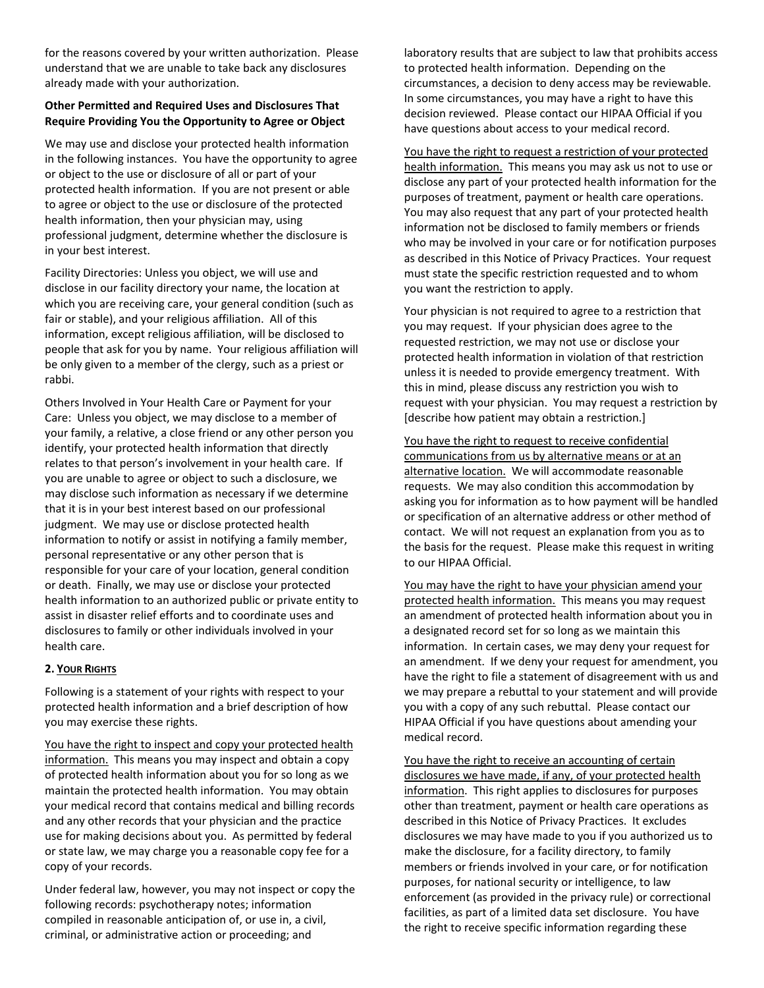for the reasons covered by your written authorization. Please understand that we are unable to take back any disclosures already made with your authorization.

### **Other Permitted and Required Uses and Disclosures That Require Providing You the Opportunity to Agree or Object**

We may use and disclose your protected health information in the following instances. You have the opportunity to agree or object to the use or disclosure of all or part of your protected health information. If you are not present or able to agree or object to the use or disclosure of the protected health information, then your physician may, using professional judgment, determine whether the disclosure is in your best interest.

Facility Directories: Unless you object, we will use and disclose in our facility directory your name, the location at which you are receiving care, your general condition (such as fair or stable), and your religious affiliation. All of this information, except religious affiliation, will be disclosed to people that ask for you by name. Your religious affiliation will be only given to a member of the clergy, such as a priest or rabbi.

Others Involved in Your Health Care or Payment for your Care: Unless you object, we may disclose to a member of your family, a relative, a close friend or any other person you identify, your protected health information that directly relates to that person's involvement in your health care. If you are unable to agree or object to such a disclosure, we may disclose such information as necessary if we determine that it is in your best interest based on our professional judgment. We may use or disclose protected health information to notify or assist in notifying a family member, personal representative or any other person that is responsible for your care of your location, general condition or death. Finally, we may use or disclose your protected health information to an authorized public or private entity to assist in disaster relief efforts and to coordinate uses and disclosures to family or other individuals involved in your health care.

### **2. YOUR RIGHTS**

Following is a statement of your rights with respect to your protected health information and a brief description of how you may exercise these rights.

You have the right to inspect and copy your protected health information. This means you may inspect and obtain a copy of protected health information about you for so long as we maintain the protected health information. You may obtain your medical record that contains medical and billing records and any other records that your physician and the practice use for making decisions about you. As permitted by federal or state law, we may charge you a reasonable copy fee for a copy of your records.

Under federal law, however, you may not inspect or copy the following records: psychotherapy notes; information compiled in reasonable anticipation of, or use in, a civil, criminal, or administrative action or proceeding; and

laboratory results that are subject to law that prohibits access to protected health information. Depending on the circumstances, a decision to deny access may be reviewable. In some circumstances, you may have a right to have this decision reviewed. Please contact our HIPAA Official if you have questions about access to your medical record.

You have the right to request a restriction of your protected health information. This means you may ask us not to use or disclose any part of your protected health information for the purposes of treatment, payment or health care operations. You may also request that any part of your protected health information not be disclosed to family members or friends who may be involved in your care or for notification purposes as described in this Notice of Privacy Practices. Your request must state the specific restriction requested and to whom you want the restriction to apply.

Your physician is not required to agree to a restriction that you may request. If your physician does agree to the requested restriction, we may not use or disclose your protected health information in violation of that restriction unless it is needed to provide emergency treatment. With this in mind, please discuss any restriction you wish to request with your physician. You may request a restriction by [describe how patient may obtain a restriction.]

You have the right to request to receive confidential communications from us by alternative means or at an alternative location. We will accommodate reasonable requests. We may also condition this accommodation by asking you for information as to how payment will be handled or specification of an alternative address or other method of contact. We will not request an explanation from you as to the basis for the request. Please make this request in writing to our HIPAA Official.

You may have the right to have your physician amend your protected health information. This means you may request an amendment of protected health information about you in a designated record set for so long as we maintain this information. In certain cases, we may deny your request for an amendment. If we deny your request for amendment, you have the right to file a statement of disagreement with us and we may prepare a rebuttal to your statement and will provide you with a copy of any such rebuttal. Please contact our HIPAA Official if you have questions about amending your medical record.

You have the right to receive an accounting of certain disclosures we have made, if any, of your protected health information. This right applies to disclosures for purposes other than treatment, payment or health care operations as described in this Notice of Privacy Practices. It excludes disclosures we may have made to you if you authorized us to make the disclosure, for a facility directory, to family members or friends involved in your care, or for notification purposes, for national security or intelligence, to law enforcement (as provided in the privacy rule) or correctional facilities, as part of a limited data set disclosure. You have the right to receive specific information regarding these